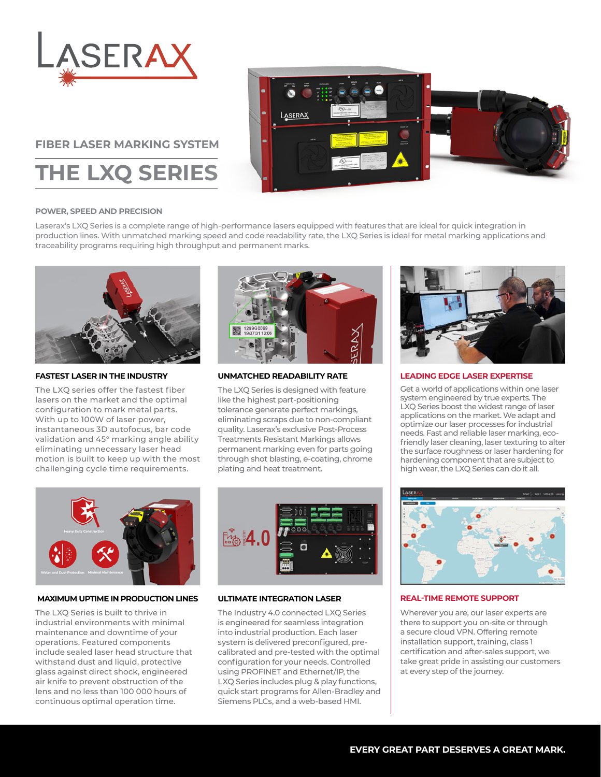

# **FIBER LASER MARKING SYSTEM**

**THE LXQ SERIES**



# **POWER, SPEED AND PRECISION**

Laserax's LXQ Series is a complete range of high-performance lasers equipped with features that are ideal for quick integration in production lines. With unmatched marking speed and code readability rate, the LXQ Series is ideal for metal marking applications and traceability programs requiring high throughput and permanent marks.



#### **FASTEST LASER IN THE INDUSTRY**

The LXQ series offer the fastest fiber lasers on the market and the optimal configuration to mark metal parts. With up to 100W of laser power, instantaneous 3D autofocus, bar code validation and 45° marking angle ability eliminating unnecessary laser head motion is built to keep up with the most challenging cycle time requirements.



# **UNMATCHED READABILITY RATE**

The LXQ Series is designed with feature like the highest part-positioning tolerance generate perfect markings, eliminating scraps due to non-compliant quality. Laserax's exclusive Post-Process Treatments Resistant Markings allows permanent marking even for parts going through shot blasting, e-coating, chrome plating and heat treatment.



#### **LEADING EDGE LASER EXPERTISE**

Get a world of applications within one laser system engineered by true experts. The LXQ Series boost the widest range of laser applications on the market. We adapt and optimize our laser processes for industrial needs. Fast and reliable laser marking, ecofriendly laser cleaning, laser texturing to alter the surface roughness or laser hardening for hardening component that are subject to high wear, the LXQ Series can do it all.



# **MAXIMUM UPTIME IN PRODUCTION LINES**

The LXQ Series is built to thrive in industrial environments with minimal maintenance and downtime of your operations. Featured components include sealed laser head structure that withstand dust and liquid, protective glass against direct shock, engineered air knife to prevent obstruction of the lens and no less than 100 000 hours of continuous optimal operation time.



# **ULTIMATE INTEGRATION LASER**

The Industry 4.0 connected LXQ Series is engineered for seamless integration into industrial production. Each laser system is delivered preconfigured, precalibrated and pre-tested with the optimal configuration for your needs. Controlled using PROFINET and Ethernet/IP, the LXQ Series includes plug & play functions, quick start programs for Allen-Bradley and Siemens PLCs, and a web-based HMI.



# **REAL-TIME REMOTE SUPPORT**

Wherever you are, our laser experts are there to support you on-site or through a secure cloud VPN. Offering remote installation support, training, class 1 certification and after-sales support, we take great pride in assisting our customers at every step of the journey.